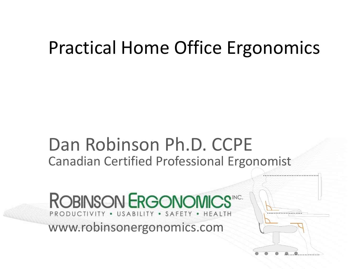#### Practical Home Office Ergonomics

#### Dan Robinson Ph.D. CCPE Canadian Certified Professional Ergonomist

**ROBINSON ERGONOMICS"CC.** PRODUCTIVITY . USABILITY . SAFETY . HEALTH www.robinsonergonomics.com

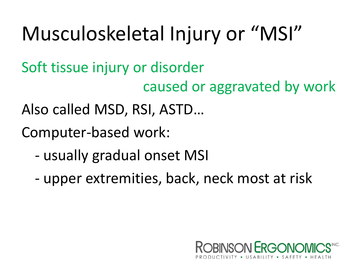## Musculoskeletal Injury or "MSI"

Soft tissue injury or disorder

caused or aggravated by work

Also called MSD, RSI, ASTD…

Computer-based work:

- usually gradual onset MSI
- upper extremities, back, neck most at risk

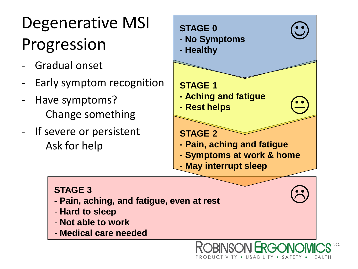### Degenerative MSI Progression

- Gradual onset
- Early symptom recognition
- Have symptoms? Change something
- If severe or persistent Ask for help



PRODUCTIVITY • USABILITY • SAFETY • HEA

#### **STAGE 3**

- **- Pain, aching, and fatigue, even at rest**
- **Hard to sleep**
- **Not able to work**
- **Medical care needed**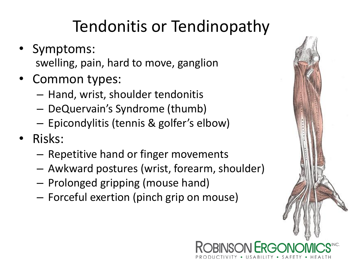#### Tendonitis or Tendinopathy

- Symptoms: swelling, pain, hard to move, ganglion
- Common types:
	- Hand, wrist, shoulder tendonitis
	- DeQuervain's Syndrome (thumb)
	- Epicondylitis (tennis & golfer's elbow)
- Risks:
	- Repetitive hand or finger movements
	- Awkward postures (wrist, forearm, shoulder)
	- Prolonged gripping (mouse hand)
	- Forceful exertion (pinch grip on mouse)



PRODUCTIVITY • USABILITY • SAFETY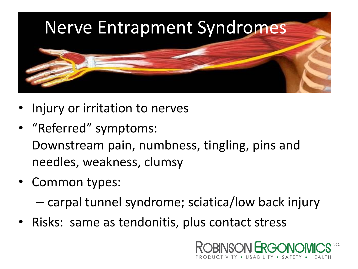

- Injury or irritation to nerves
- "Referred" symptoms: Downstream pain, numbness, tingling, pins and needles, weakness, clumsy
- Common types:

– carpal tunnel syndrome; sciatica/low back injury

• Risks: same as tendonitis, plus contact stress

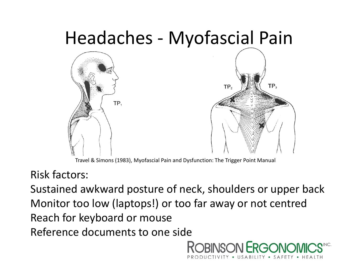

Travel & Simons (1983), Myofascial Pain and Dysfunction: The Trigger Point Manual

Risk factors:

Sustained awkward posture of neck, shoulders or upper back Monitor too low (laptops!) or too far away or not centred Reach for keyboard or mouse Reference documents to one side

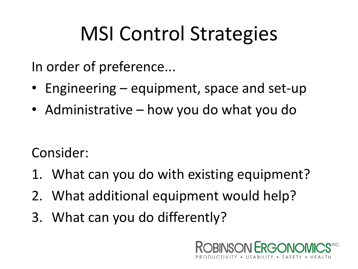## MSI Control Strategies

In order of preference...

- Engineering equipment, space and set-up
- Administrative how you do what you do

Consider:

- 1. What can you do with existing equipment?
- 2. What additional equipment would help?
- 3. What can you do differently?

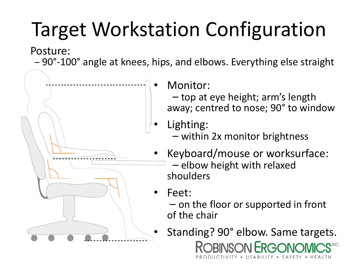# Target Workstation Configuration

Posture:

– 90°-100° angle at knees, hips, and elbows. Everything else straight



Monitor:

– top at eye height; arm's length away; centred to nose; 90° to window

- Lighting:
	- within 2x monitor brightness
- Keyboard/mouse or worksurface: – elbow height with relaxed shoulders
- Feet:
	- on the floor or supported in front of the chair
- Standing? 90° elbow. Same targets. ROBINSON FRG PRODUCTIVITY • USABILITY • SAFETY • HEA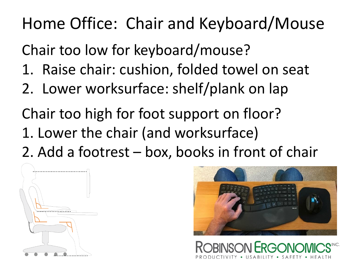Home Office: Chair and Keyboard/Mouse

Chair too low for keyboard/mouse?

- 1. Raise chair: cushion, folded towel on seat
- 2. Lower worksurface: shelf/plank on lap

Chair too high for foot support on floor? 1. Lower the chair (and worksurface) 2. Add a footrest – box, books in front of chair





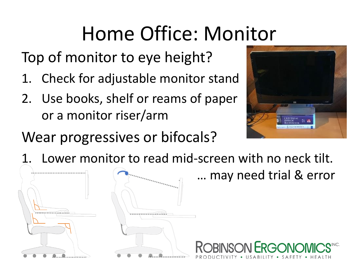## Home Office: Monitor

Top of monitor to eye height?

- 1. Check for adjustable monitor stand
- 2. Use books, shelf or reams of paper or a monitor riser/arm



#### Wear progressives or bifocals?

Lower monitor to read mid-screen with no neck tilt.

… may need trial & error

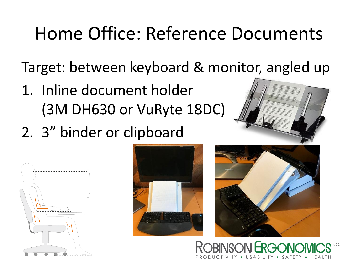## Home Office: Reference Documents

Target: between keyboard & monitor, angled up

- 1. Inline document holder (3M DH630 or VuRyte 18DC)
- 2. 3" binder or clipboard









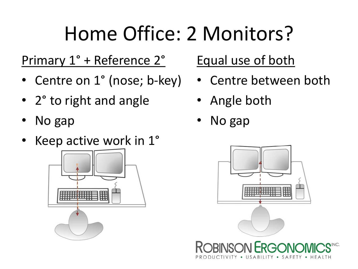## Home Office: 2 Monitors?

#### Primary 1° + Reference 2°

- Centre on 1° (nose; b-key)
- 2° to right and angle
- No gap
- Keep active work in 1°



#### Equal use of both

- Centre between both
- Angle both
- No gap

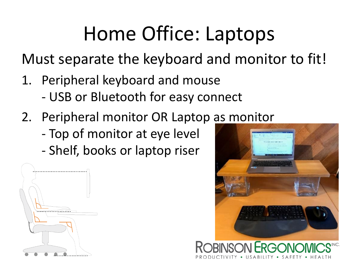## Home Office: Laptops

Must separate the keyboard and monitor to fit!

- 1. Peripheral keyboard and mouse
	- USB or Bluetooth for easy connect
- 2. Peripheral monitor OR Laptop as monitor
	- Top of monitor at eye level
	- Shelf, books or laptop riser





• USABILITY • SAFETY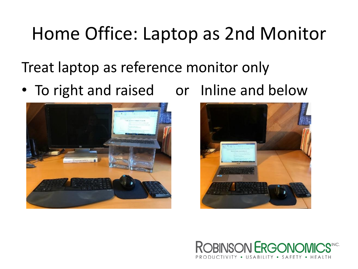### Home Office: Laptop as 2nd Monitor

Treat laptop as reference monitor only

• To right and raised or Inline and below





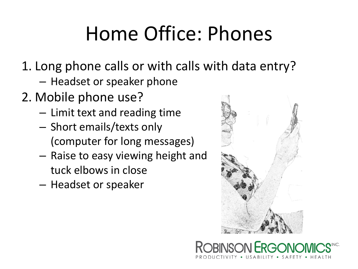## Home Office: Phones

- 1. Long phone calls or with calls with data entry?
	- Headset or speaker phone
- 2. Mobile phone use?
	- Limit text and reading time
	- Short emails/texts only (computer for long messages)
	- Raise to easy viewing height and tuck elbows in close
	- Headset or speaker



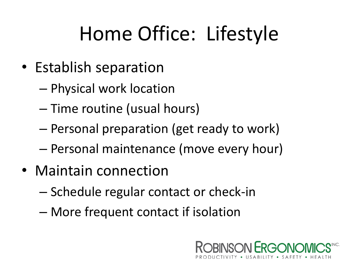## Home Office: Lifestyle

- Establish separation
	- Physical work location
	- Time routine (usual hours)
	- Personal preparation (get ready to work)
	- Personal maintenance (move every hour)
- Maintain connection
	- Schedule regular contact or check-in
	- More frequent contact if isolation